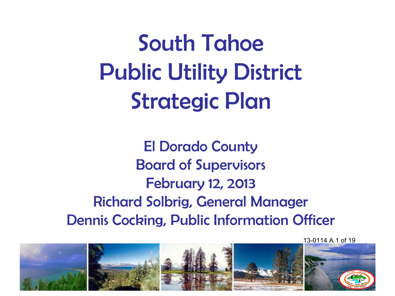South Tahoe Public Utility District Strategic Plan

El Dorado County Board of Supervisors February 12, 2013 Richard Solbrig, General Manager Dennis Cocking, Public Information Officer

13-0114 A 1 of 19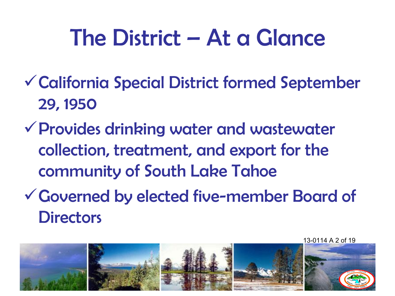### The District – At a Glance

- California Special District formed September 29, 1950
- Provides drinking water and wastewater collection, treatment, and export for the community of South Lake Tahoe
- Governed by elected five-member Board of **Directors**

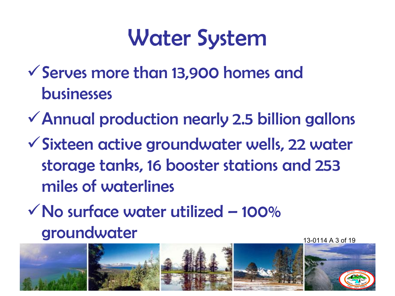### Water System

- Serves more than 13,900 homes and businesses
- Annual production nearly 2.5 billion gallons
- Sixteen active groundwater wells, 22 water storage tanks, 16 booster stations and 253 miles of waterlines
- $\sqrt{N}$ o surface water utilized 100% groundwater

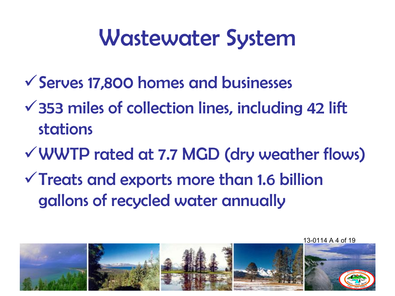### Wastewater System

- Serves 17,800 homes and businesses
- $\checkmark$  353 miles of collection lines, including 42 lift stations
- WWTP rated at 7.7 MGD (dry weather flows)
- $\checkmark$  Treats and exports more than 1.6 billion gallons of recycled water annually

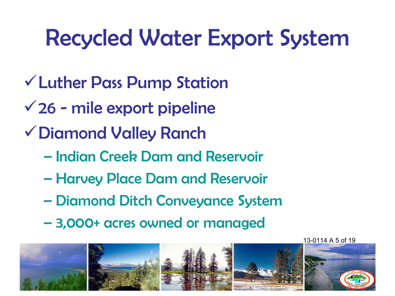## Recycled Water Export System

- Luther Pass Pump Station
- $\sqrt{26}$  mile export pipeline
- Diamond Valley Ranch
	- Indian Creek Dam and Reservoir
	- Harvey Place Dam and Reservoir
	- Diamond Ditch Conveyance System
	- 3,000+ acres owned or managed

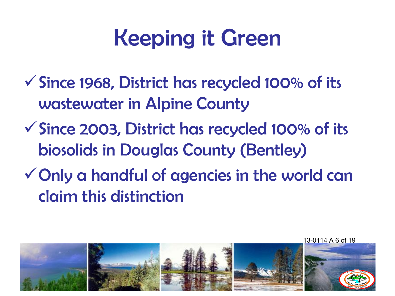# Keeping it Green

- Since 1968, District has recycled 100% of its wastewater in Alpine County
- Since 2003, District has recycled 100% of its biosolids in Douglas County (Bentley)
- Only a handful of agencies in the world can claim this distinction

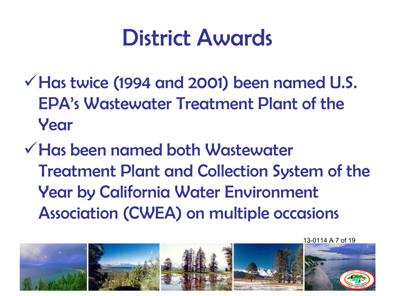#### District Awards

- $\checkmark$  Has twice (1994 and 2001) been named U.S. EPA's Wastewater Treatment Plant of the Year
- Has been named both Wastewater Treatment Plant and Collection System of the Year by California Water Environment Association (CWEA) on multiple occasions

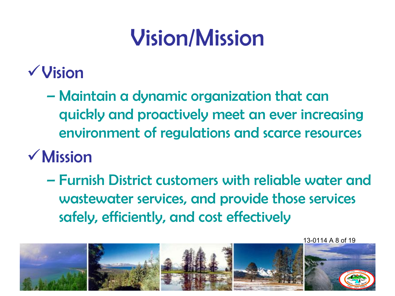# Vision/Mission

#### Vision

– Maintain a dynamic organization that can quickly and proactively meet an ever increasing environment of regulations and scarce resources

#### Mission

– Furnish District customers with reliable water and wastewater services, and provide those services safely, efficiently, and cost effectively

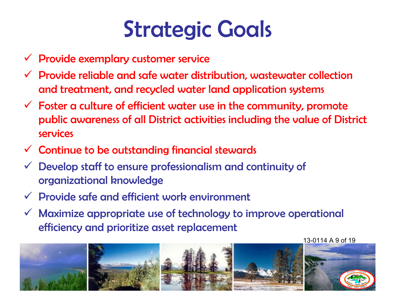## Strategic Goals

- $\checkmark$  Provide exemplary customer service
- $\checkmark$  Provide reliable and safe water distribution, wastewater collection and treatment, and recycled water land application systems
- $\checkmark$  Foster a culture of efficient water use in the community, promote public awareness of all District activities including the value of District services
- $\checkmark$  Continue to be outstanding financial stewards
- $\checkmark$  Develop staff to ensure professionalism and continuity of organizational knowledge
- $\checkmark$  Provide safe and efficient work environment
- $\checkmark$  Maximize appropriate use of technology to improve operational efficiency and prioritize asset replacement

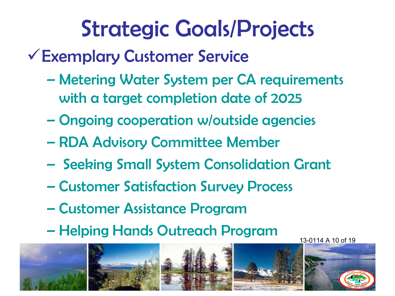- Exemplary Customer Service
	- Metering Water System per CA requirements with a target completion date of 2025
	- Ongoing cooperation w/outside agencies
	- RDA Advisory Committee Member
	- Seeking Small System Consolidation Grant
	- Customer Satisfaction Survey Process
	- Customer Assistance Program
	- Helping Hands Outreach Program

13-0114 A 10 of 19

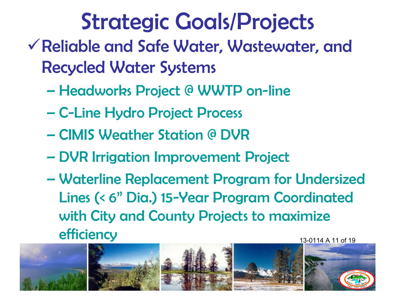- Reliable and Safe Water, Wastewater, and Recycled Water Systems
	- Headworks Project @ WWTP on-line
	- C-Line Hydro Project Process
	- CIMIS Weather Station @ DVR
	- DVR Irrigation Improvement Project
	- Waterline Replacement Program for Undersized Lines (< 6" Dia.) 15-Year Program Coordinated with City and County Projects to maximize **efficiency** 13-0114 A 11 of 19

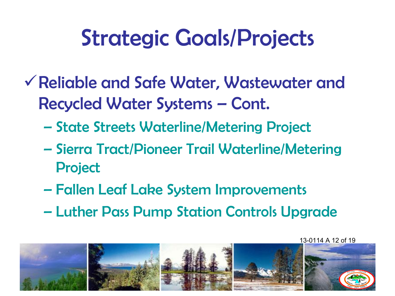- Reliable and Safe Water, Wastewater and Recycled Water Systems – Cont.
	- State Streets Waterline/Metering Project
	- Sierra Tract/Pioneer Trail Waterline/Metering Project
	- Fallen Leaf Lake System Improvements
	- Luther Pass Pump Station Controls Upgrade

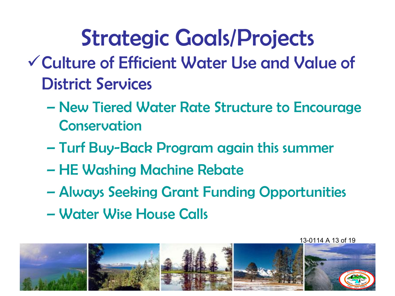- Culture of Efficient Water Use and Value of District Services
	- New Tiered Water Rate Structure to Encourage Conservation
	- Turf Buy-Back Program again this summer
	- HE Washing Machine Rebate
	- Always Seeking Grant Funding Opportunities
	- Water Wise House Calls

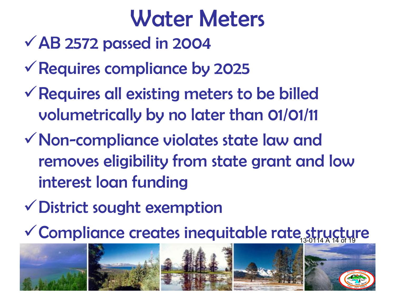#### Water Meters

- $\sqrt{AB}$  2572 passed in 2004
- Requires compliance by 2025
- $\checkmark$  Requires all existing meters to be billed volumetrically by no later than 01/01/11
- Non-compliance violates state law and removes eligibility from state grant and low interest loan funding
- District sought exemption
- V Compliance creates inequitable rate structure

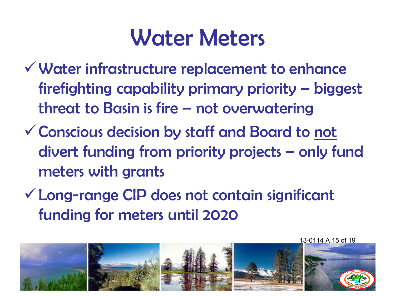#### Water Meters

- Water infrastructure replacement to enhance firefighting capability primary priority – biggest threat to Basin is fire – not overwatering
- Conscious decision by staff and Board to not divert funding from priority projects – only fund meters with grants
- Long-range CIP does not contain significant funding for meters until 2020

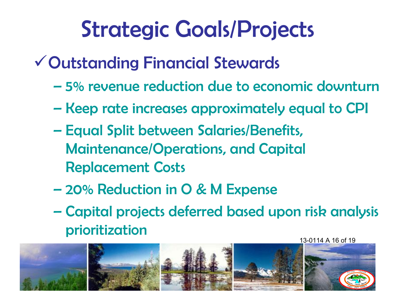- Outstanding Financial Stewards
	- 5% revenue reduction due to economic downturn
	- Keep rate increases approximately equal to CPI
	- Equal Split between Salaries/Benefits, Maintenance/Operations, and Capital Replacement Costs
	- 20% Reduction in O & M Expense
	- Capital projects deferred based upon risk analysis prioritization

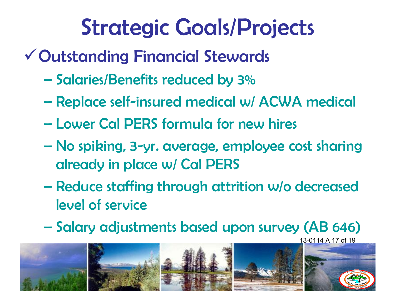- Outstanding Financial Stewards
	- Salaries/Benefits reduced by 3%
	- Replace self-insured medical w/ ACWA medical
	- Lower Cal PERS formula for new hires
	- No spiking, 3-yr. average, employee cost sharing already in place w/ Cal PERS
	- Reduce staffing through attrition w/o decreased level of service
	- Salary adjustments based upon survey (AB 646)

13-0114 A 17 of 19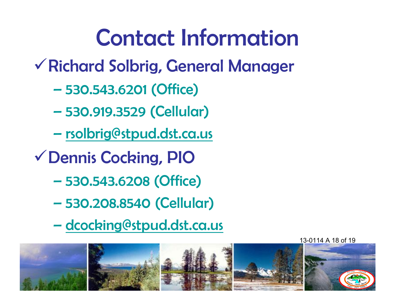## Contact Information

- Richard Solbrig, General Manager
	- 530.543.6201 (Office)
	- 530.919.3529 (Cellular)
	- [rsolbrig@stpud.dst.ca.us](mailto:rsolbrig@stpud.dst.ca.us)
- Dennis Cocking, PIO
	- 530.543.6208 (Office)
	- 530.208.8540 (Cellular)
	- dcocking@stpud.dst.ca.us